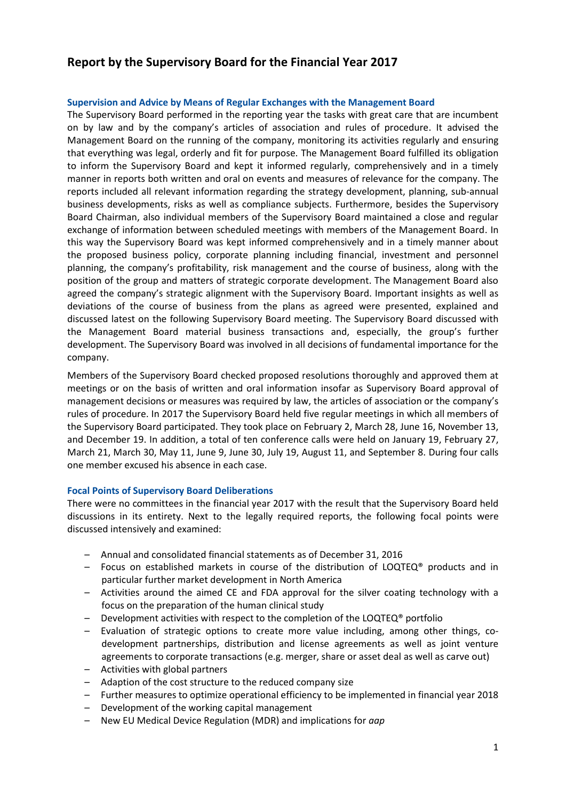# **Report by the Supervisory Board for the Financial Year 2017**

### **Supervision and Advice by Means of Regular Exchanges with the Management Board**

The Supervisory Board performed in the reporting year the tasks with great care that are incumbent on by law and by the company's articles of association and rules of procedure. It advised the Management Board on the running of the company, monitoring its activities regularly and ensuring that everything was legal, orderly and fit for purpose. The Management Board fulfilled its obligation to inform the Supervisory Board and kept it informed regularly, comprehensively and in a timely manner in reports both written and oral on events and measures of relevance for the company. The reports included all relevant information regarding the strategy development, planning, sub-annual business developments, risks as well as compliance subjects. Furthermore, besides the Supervisory Board Chairman, also individual members of the Supervisory Board maintained a close and regular exchange of information between scheduled meetings with members of the Management Board. In this way the Supervisory Board was kept informed comprehensively and in a timely manner about the proposed business policy, corporate planning including financial, investment and personnel planning, the company's profitability, risk management and the course of business, along with the position of the group and matters of strategic corporate development. The Management Board also agreed the company's strategic alignment with the Supervisory Board. Important insights as well as deviations of the course of business from the plans as agreed were presented, explained and discussed latest on the following Supervisory Board meeting. The Supervisory Board discussed with the Management Board material business transactions and, especially, the group's further development. The Supervisory Board was involved in all decisions of fundamental importance for the company.

Members of the Supervisory Board checked proposed resolutions thoroughly and approved them at meetings or on the basis of written and oral information insofar as Supervisory Board approval of management decisions or measures was required by law, the articles of association or the company's rules of procedure. In 2017 the Supervisory Board held five regular meetings in which all members of the Supervisory Board participated. They took place on February 2, March 28, June 16, November 13, and December 19. In addition, a total of ten conference calls were held on January 19, February 27, March 21, March 30, May 11, June 9, June 30, July 19, August 11, and September 8. During four calls one member excused his absence in each case.

### **Focal Points of Supervisory Board Deliberations**

There were no committees in the financial year 2017 with the result that the Supervisory Board held discussions in its entirety. Next to the legally required reports, the following focal points were discussed intensively and examined:

- Annual and consolidated financial statements as of December 31, 2016
- Focus on established markets in course of the distribution of LOQTEQ<sup>®</sup> products and in particular further market development in North America
- Activities around the aimed CE and FDA approval for the silver coating technology with a focus on the preparation of the human clinical study
- Development activities with respect to the completion of the LOQTEQ® portfolio
- Evaluation of strategic options to create more value including, among other things, codevelopment partnerships, distribution and license agreements as well as joint venture agreements to corporate transactions (e.g. merger, share or asset deal as well as carve out)
- Activities with global partners
- Adaption of the cost structure to the reduced company size
- Further measures to optimize operational efficiency to be implemented in financial year 2018
- Development of the working capital management
- New EU Medical Device Regulation (MDR) and implications for *aap*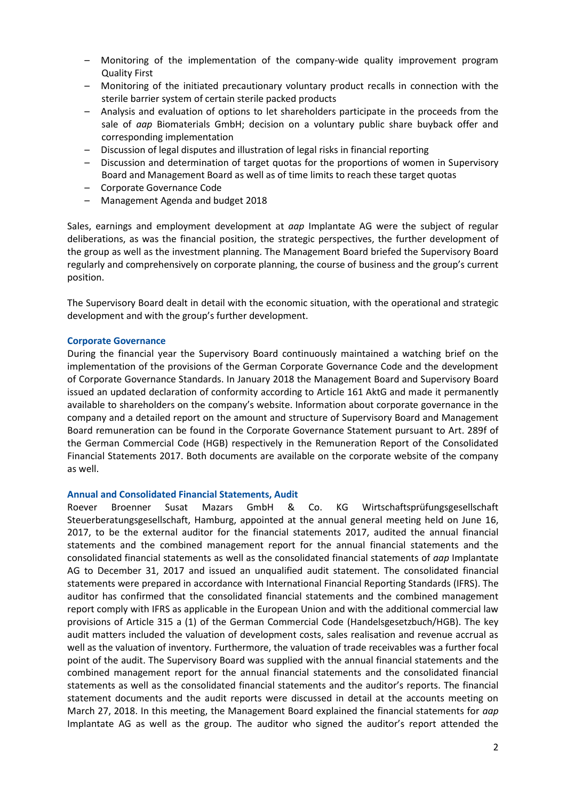- Monitoring of the implementation of the company-wide quality improvement program Quality First
- Monitoring of the initiated precautionary voluntary product recalls in connection with the sterile barrier system of certain sterile packed products
- Analysis and evaluation of options to let shareholders participate in the proceeds from the sale of *aap* Biomaterials GmbH; decision on a voluntary public share buyback offer and corresponding implementation
- Discussion of legal disputes and illustration of legal risks in financial reporting
- Discussion and determination of target quotas for the proportions of women in Supervisory Board and Management Board as well as of time limits to reach these target quotas
- Corporate Governance Code
- Management Agenda and budget 2018

Sales, earnings and employment development at *aap* Implantate AG were the subject of regular deliberations, as was the financial position, the strategic perspectives, the further development of the group as well as the investment planning. The Management Board briefed the Supervisory Board regularly and comprehensively on corporate planning, the course of business and the group's current position.

The Supervisory Board dealt in detail with the economic situation, with the operational and strategic development and with the group's further development.

### **Corporate Governance**

During the financial year the Supervisory Board continuously maintained a watching brief on the implementation of the provisions of the German Corporate Governance Code and the development of Corporate Governance Standards. In January 2018 the Management Board and Supervisory Board issued an updated declaration of conformity according to Article 161 AktG and made it permanently available to shareholders on the company's website. Information about corporate governance in the company and a detailed report on the amount and structure of Supervisory Board and Management Board remuneration can be found in the Corporate Governance Statement pursuant to Art. 289f of the German Commercial Code (HGB) respectively in the Remuneration Report of the Consolidated Financial Statements 2017. Both documents are available on the corporate website of the company as well.

### **Annual and Consolidated Financial Statements, Audit**

Roever Broenner Susat Mazars GmbH & Co. KG Wirtschaftsprüfungsgesellschaft Steuerberatungsgesellschaft, Hamburg, appointed at the annual general meeting held on June 16, 2017, to be the external auditor for the financial statements 2017, audited the annual financial statements and the combined management report for the annual financial statements and the consolidated financial statements as well as the consolidated financial statements of *aap* Implantate AG to December 31, 2017 and issued an unqualified audit statement. The consolidated financial statements were prepared in accordance with International Financial Reporting Standards (IFRS). The auditor has confirmed that the consolidated financial statements and the combined management report comply with IFRS as applicable in the European Union and with the additional commercial law provisions of Article 315 a (1) of the German Commercial Code (Handelsgesetzbuch/HGB). The key audit matters included the valuation of development costs, sales realisation and revenue accrual as well as the valuation of inventory. Furthermore, the valuation of trade receivables was a further focal point of the audit. The Supervisory Board was supplied with the annual financial statements and the combined management report for the annual financial statements and the consolidated financial statements as well as the consolidated financial statements and the auditor's reports. The financial statement documents and the audit reports were discussed in detail at the accounts meeting on March 27, 2018. In this meeting, the Management Board explained the financial statements for *aap* Implantate AG as well as the group. The auditor who signed the auditor's report attended the